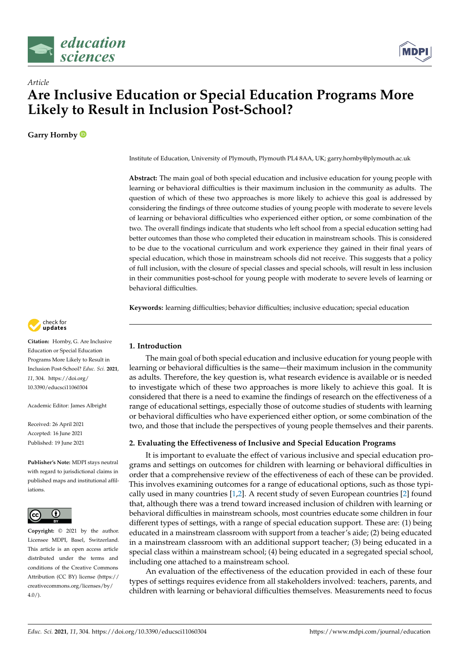



**Garry Hornby**

Institute of Education, University of Plymouth, Plymouth PL4 8AA, UK; garry.hornby@plymouth.ac.uk

**Abstract:** The main goal of both special education and inclusive education for young people with learning or behavioral difficulties is their maximum inclusion in the community as adults. The question of which of these two approaches is more likely to achieve this goal is addressed by considering the findings of three outcome studies of young people with moderate to severe levels of learning or behavioral difficulties who experienced either option, or some combination of the two. The overall findings indicate that students who left school from a special education setting had better outcomes than those who completed their education in mainstream schools. This is considered to be due to the vocational curriculum and work experience they gained in their final years of special education, which those in mainstream schools did not receive. This suggests that a policy of full inclusion, with the closure of special classes and special schools, will result in less inclusion in their communities post-school for young people with moderate to severe levels of learning or behavioral difficulties.

**Keywords:** learning difficulties; behavior difficulties; inclusive education; special education



**Citation:** Hornby, G. Are Inclusive Education or Special Education Programs More Likely to Result in Inclusion Post-School? *Educ. Sci.* **2021**, *11*, 304. [https://doi.org/](https://doi.org/10.3390/educsci11060304) [10.3390/educsci11060304](https://doi.org/10.3390/educsci11060304)

Academic Editor: James Albright

Received: 26 April 2021 Accepted: 16 June 2021 Published: 19 June 2021

**Publisher's Note:** MDPI stays neutral with regard to jurisdictional claims in published maps and institutional affiliations.



**Copyright:** © 2021 by the author. Licensee MDPI, Basel, Switzerland. This article is an open access article distributed under the terms and conditions of the Creative Commons Attribution (CC BY) license (https:/[/](https://creativecommons.org/licenses/by/4.0/) [creativecommons.org/licenses/by/](https://creativecommons.org/licenses/by/4.0/)  $4.0/$ ).

# **1. Introduction**

The main goal of both special education and inclusive education for young people with learning or behavioral difficulties is the same—their maximum inclusion in the community as adults. Therefore, the key question is, what research evidence is available or is needed to investigate which of these two approaches is more likely to achieve this goal. It is considered that there is a need to examine the findings of research on the effectiveness of a range of educational settings, especially those of outcome studies of students with learning or behavioral difficulties who have experienced either option, or some combination of the two, and those that include the perspectives of young people themselves and their parents.

# **2. Evaluating the Effectiveness of Inclusive and Special Education Programs**

It is important to evaluate the effect of various inclusive and special education programs and settings on outcomes for children with learning or behavioral difficulties in order that a comprehensive review of the effectiveness of each of these can be provided. This involves examining outcomes for a range of educational options, such as those typically used in many countries [\[1,](#page-6-0)[2\]](#page-6-1). A recent study of seven European countries [\[2\]](#page-6-1) found that, although there was a trend toward increased inclusion of children with learning or behavioral difficulties in mainstream schools, most countries educate some children in four different types of settings, with a range of special education support. These are: (1) being educated in a mainstream classroom with support from a teacher's aide; (2) being educated in a mainstream classroom with an additional support teacher; (3) being educated in a special class within a mainstream school; (4) being educated in a segregated special school, including one attached to a mainstream school.

An evaluation of the effectiveness of the education provided in each of these four types of settings requires evidence from all stakeholders involved: teachers, parents, and children with learning or behavioral difficulties themselves. Measurements need to focus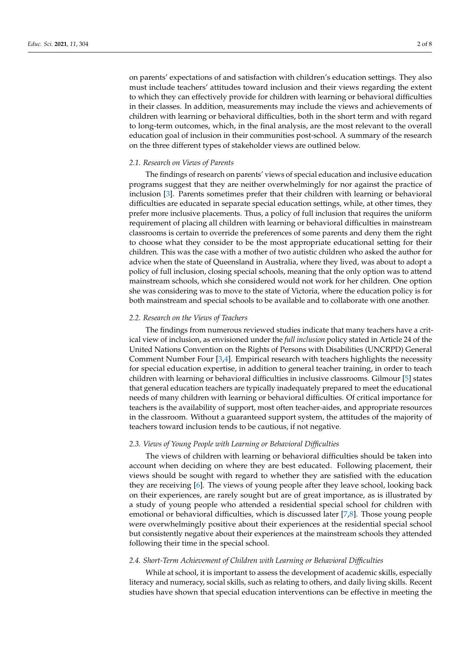on parents' expectations of and satisfaction with children's education settings. They also must include teachers' attitudes toward inclusion and their views regarding the extent to which they can effectively provide for children with learning or behavioral difficulties in their classes. In addition, measurements may include the views and achievements of children with learning or behavioral difficulties, both in the short term and with regard to long-term outcomes, which, in the final analysis, are the most relevant to the overall education goal of inclusion in their communities post-school. A summary of the research on the three different types of stakeholder views are outlined below.

## *2.1. Research on Views of Parents*

The findings of research on parents' views of special education and inclusive education programs suggest that they are neither overwhelmingly for nor against the practice of inclusion [\[3\]](#page-6-2). Parents sometimes prefer that their children with learning or behavioral difficulties are educated in separate special education settings, while, at other times, they prefer more inclusive placements. Thus, a policy of full inclusion that requires the uniform requirement of placing all children with learning or behavioral difficulties in mainstream classrooms is certain to override the preferences of some parents and deny them the right to choose what they consider to be the most appropriate educational setting for their children. This was the case with a mother of two autistic children who asked the author for advice when the state of Queensland in Australia, where they lived, was about to adopt a policy of full inclusion, closing special schools, meaning that the only option was to attend mainstream schools, which she considered would not work for her children. One option she was considering was to move to the state of Victoria, where the education policy is for both mainstream and special schools to be available and to collaborate with one another.

## *2.2. Research on the Views of Teachers*

The findings from numerous reviewed studies indicate that many teachers have a critical view of inclusion, as envisioned under the *full inclusion* policy stated in Article 24 of the United Nations Convention on the Rights of Persons with Disabilities (UNCRPD) General Comment Number Four [\[3,](#page-6-2)[4\]](#page-6-3). Empirical research with teachers highlights the necessity for special education expertise, in addition to general teacher training, in order to teach children with learning or behavioral difficulties in inclusive classrooms. Gilmour [\[5\]](#page-6-4) states that general education teachers are typically inadequately prepared to meet the educational needs of many children with learning or behavioral difficulties. Of critical importance for teachers is the availability of support, most often teacher-aides, and appropriate resources in the classroom. Without a guaranteed support system, the attitudes of the majority of teachers toward inclusion tends to be cautious, if not negative.

## *2.3. Views of Young People with Learning or Behavioral Difficulties*

The views of children with learning or behavioral difficulties should be taken into account when deciding on where they are best educated. Following placement, their views should be sought with regard to whether they are satisfied with the education they are receiving [\[6\]](#page-6-5). The views of young people after they leave school, looking back on their experiences, are rarely sought but are of great importance, as is illustrated by a study of young people who attended a residential special school for children with emotional or behavioral difficulties, which is discussed later [\[7](#page-6-6)[,8\]](#page-6-7). Those young people were overwhelmingly positive about their experiences at the residential special school but consistently negative about their experiences at the mainstream schools they attended following their time in the special school.

# *2.4. Short-Term Achievement of Children with Learning or Behavioral Difficulties*

While at school, it is important to assess the development of academic skills, especially literacy and numeracy, social skills, such as relating to others, and daily living skills. Recent studies have shown that special education interventions can be effective in meeting the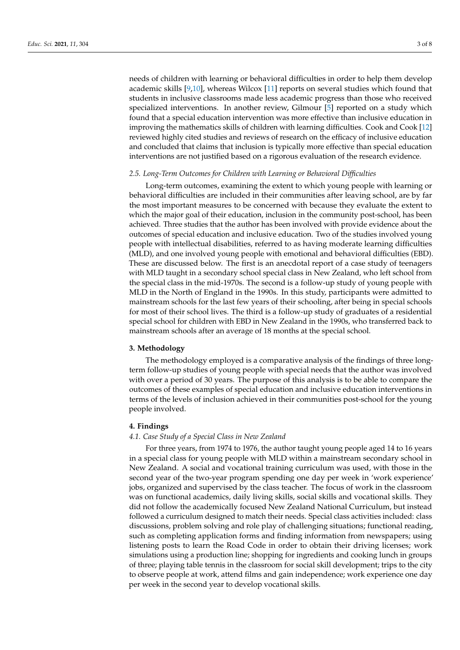needs of children with learning or behavioral difficulties in order to help them develop academic skills [\[9](#page-6-8)[,10\]](#page-6-9), whereas Wilcox [\[11\]](#page-6-10) reports on several studies which found that students in inclusive classrooms made less academic progress than those who received specialized interventions. In another review, Gilmour [\[5\]](#page-6-4) reported on a study which found that a special education intervention was more effective than inclusive education in improving the mathematics skills of children with learning difficulties. Cook and Cook [\[12\]](#page-6-11) reviewed highly cited studies and reviews of research on the efficacy of inclusive education and concluded that claims that inclusion is typically more effective than special education interventions are not justified based on a rigorous evaluation of the research evidence.

## *2.5. Long-Term Outcomes for Children with Learning or Behavioral Difficulties*

Long-term outcomes, examining the extent to which young people with learning or behavioral difficulties are included in their communities after leaving school, are by far the most important measures to be concerned with because they evaluate the extent to which the major goal of their education, inclusion in the community post-school, has been achieved. Three studies that the author has been involved with provide evidence about the outcomes of special education and inclusive education. Two of the studies involved young people with intellectual disabilities, referred to as having moderate learning difficulties (MLD), and one involved young people with emotional and behavioral difficulties (EBD). These are discussed below. The first is an anecdotal report of a case study of teenagers with MLD taught in a secondary school special class in New Zealand, who left school from the special class in the mid-1970s. The second is a follow-up study of young people with MLD in the North of England in the 1990s. In this study, participants were admitted to mainstream schools for the last few years of their schooling, after being in special schools for most of their school lives. The third is a follow-up study of graduates of a residential special school for children with EBD in New Zealand in the 1990s, who transferred back to mainstream schools after an average of 18 months at the special school.

#### **3. Methodology**

The methodology employed is a comparative analysis of the findings of three longterm follow-up studies of young people with special needs that the author was involved with over a period of 30 years. The purpose of this analysis is to be able to compare the outcomes of these examples of special education and inclusive education interventions in terms of the levels of inclusion achieved in their communities post-school for the young people involved.

## **4. Findings**

#### *4.1. Case Study of a Special Class in New Zealand*

For three years, from 1974 to 1976, the author taught young people aged 14 to 16 years in a special class for young people with MLD within a mainstream secondary school in New Zealand. A social and vocational training curriculum was used, with those in the second year of the two-year program spending one day per week in 'work experience' jobs, organized and supervised by the class teacher. The focus of work in the classroom was on functional academics, daily living skills, social skills and vocational skills. They did not follow the academically focused New Zealand National Curriculum, but instead followed a curriculum designed to match their needs. Special class activities included: class discussions, problem solving and role play of challenging situations; functional reading, such as completing application forms and finding information from newspapers; using listening posts to learn the Road Code in order to obtain their driving licenses; work simulations using a production line; shopping for ingredients and cooking lunch in groups of three; playing table tennis in the classroom for social skill development; trips to the city to observe people at work, attend films and gain independence; work experience one day per week in the second year to develop vocational skills.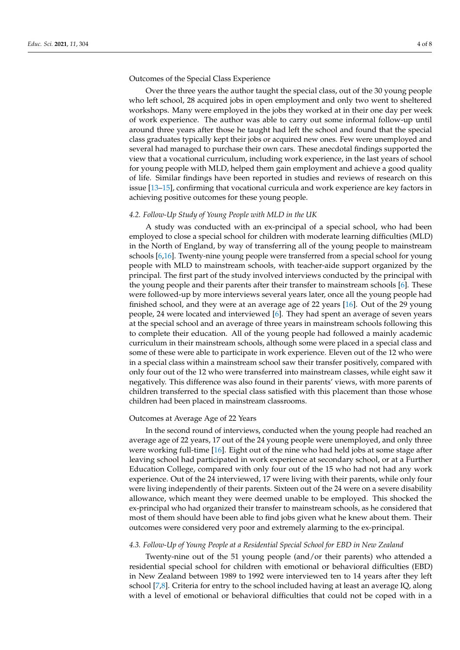Outcomes of the Special Class Experience

Over the three years the author taught the special class, out of the 30 young people who left school, 28 acquired jobs in open employment and only two went to sheltered workshops. Many were employed in the jobs they worked at in their one day per week of work experience. The author was able to carry out some informal follow-up until around three years after those he taught had left the school and found that the special class graduates typically kept their jobs or acquired new ones. Few were unemployed and several had managed to purchase their own cars. These anecdotal findings supported the view that a vocational curriculum, including work experience, in the last years of school for young people with MLD, helped them gain employment and achieve a good quality of life. Similar findings have been reported in studies and reviews of research on this issue [\[13](#page-6-12)[–15\]](#page-6-13), confirming that vocational curricula and work experience are key factors in achieving positive outcomes for these young people.

## *4.2. Follow-Up Study of Young People with MLD in the UK*

A study was conducted with an ex-principal of a special school, who had been employed to close a special school for children with moderate learning difficulties (MLD) in the North of England, by way of transferring all of the young people to mainstream schools [\[6,](#page-6-5)[16\]](#page-6-14). Twenty-nine young people were transferred from a special school for young people with MLD to mainstream schools, with teacher-aide support organized by the principal. The first part of the study involved interviews conducted by the principal with the young people and their parents after their transfer to mainstream schools [\[6\]](#page-6-5). These were followed-up by more interviews several years later, once all the young people had finished school, and they were at an average age of 22 years [\[16\]](#page-6-14). Out of the 29 young people, 24 were located and interviewed [\[6\]](#page-6-5). They had spent an average of seven years at the special school and an average of three years in mainstream schools following this to complete their education. All of the young people had followed a mainly academic curriculum in their mainstream schools, although some were placed in a special class and some of these were able to participate in work experience. Eleven out of the 12 who were in a special class within a mainstream school saw their transfer positively, compared with only four out of the 12 who were transferred into mainstream classes, while eight saw it negatively. This difference was also found in their parents' views, with more parents of children transferred to the special class satisfied with this placement than those whose children had been placed in mainstream classrooms.

#### Outcomes at Average Age of 22 Years

In the second round of interviews, conducted when the young people had reached an average age of 22 years, 17 out of the 24 young people were unemployed, and only three were working full-time [\[16\]](#page-6-14). Eight out of the nine who had held jobs at some stage after leaving school had participated in work experience at secondary school, or at a Further Education College, compared with only four out of the 15 who had not had any work experience. Out of the 24 interviewed, 17 were living with their parents, while only four were living independently of their parents. Sixteen out of the 24 were on a severe disability allowance, which meant they were deemed unable to be employed. This shocked the ex-principal who had organized their transfer to mainstream schools, as he considered that most of them should have been able to find jobs given what he knew about them. Their outcomes were considered very poor and extremely alarming to the ex-principal.

#### *4.3. Follow-Up of Young People at a Residential Special School for EBD in New Zealand*

Twenty-nine out of the 51 young people (and/or their parents) who attended a residential special school for children with emotional or behavioral difficulties (EBD) in New Zealand between 1989 to 1992 were interviewed ten to 14 years after they left school [\[7](#page-6-6)[,8\]](#page-6-7). Criteria for entry to the school included having at least an average IQ, along with a level of emotional or behavioral difficulties that could not be coped with in a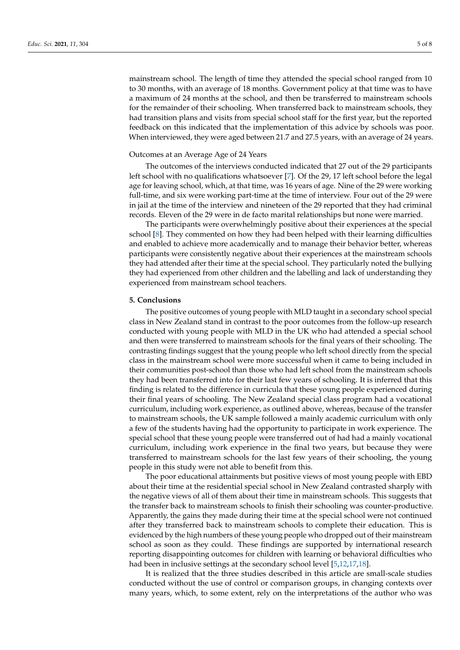mainstream school. The length of time they attended the special school ranged from 10 to 30 months, with an average of 18 months. Government policy at that time was to have a maximum of 24 months at the school, and then be transferred to mainstream schools for the remainder of their schooling. When transferred back to mainstream schools, they had transition plans and visits from special school staff for the first year, but the reported feedback on this indicated that the implementation of this advice by schools was poor. When interviewed, they were aged between 21.7 and 27.5 years, with an average of 24 years.

### Outcomes at an Average Age of 24 Years

The outcomes of the interviews conducted indicated that 27 out of the 29 participants left school with no qualifications whatsoever [\[7\]](#page-6-6). Of the 29, 17 left school before the legal age for leaving school, which, at that time, was 16 years of age. Nine of the 29 were working full-time, and six were working part-time at the time of interview. Four out of the 29 were in jail at the time of the interview and nineteen of the 29 reported that they had criminal records. Eleven of the 29 were in de facto marital relationships but none were married.

The participants were overwhelmingly positive about their experiences at the special school [\[8\]](#page-6-7). They commented on how they had been helped with their learning difficulties and enabled to achieve more academically and to manage their behavior better, whereas participants were consistently negative about their experiences at the mainstream schools they had attended after their time at the special school. They particularly noted the bullying they had experienced from other children and the labelling and lack of understanding they experienced from mainstream school teachers.

#### **5. Conclusions**

The positive outcomes of young people with MLD taught in a secondary school special class in New Zealand stand in contrast to the poor outcomes from the follow-up research conducted with young people with MLD in the UK who had attended a special school and then were transferred to mainstream schools for the final years of their schooling. The contrasting findings suggest that the young people who left school directly from the special class in the mainstream school were more successful when it came to being included in their communities post-school than those who had left school from the mainstream schools they had been transferred into for their last few years of schooling. It is inferred that this finding is related to the difference in curricula that these young people experienced during their final years of schooling. The New Zealand special class program had a vocational curriculum, including work experience, as outlined above, whereas, because of the transfer to mainstream schools, the UK sample followed a mainly academic curriculum with only a few of the students having had the opportunity to participate in work experience. The special school that these young people were transferred out of had had a mainly vocational curriculum, including work experience in the final two years, but because they were transferred to mainstream schools for the last few years of their schooling, the young people in this study were not able to benefit from this.

The poor educational attainments but positive views of most young people with EBD about their time at the residential special school in New Zealand contrasted sharply with the negative views of all of them about their time in mainstream schools. This suggests that the transfer back to mainstream schools to finish their schooling was counter-productive. Apparently, the gains they made during their time at the special school were not continued after they transferred back to mainstream schools to complete their education. This is evidenced by the high numbers of these young people who dropped out of their mainstream school as soon as they could. These findings are supported by international research reporting disappointing outcomes for children with learning or behavioral difficulties who had been in inclusive settings at the secondary school level [\[5](#page-6-4)[,12](#page-6-11)[,17,](#page-6-15)[18\]](#page-6-16).

It is realized that the three studies described in this article are small-scale studies conducted without the use of control or comparison groups, in changing contexts over many years, which, to some extent, rely on the interpretations of the author who was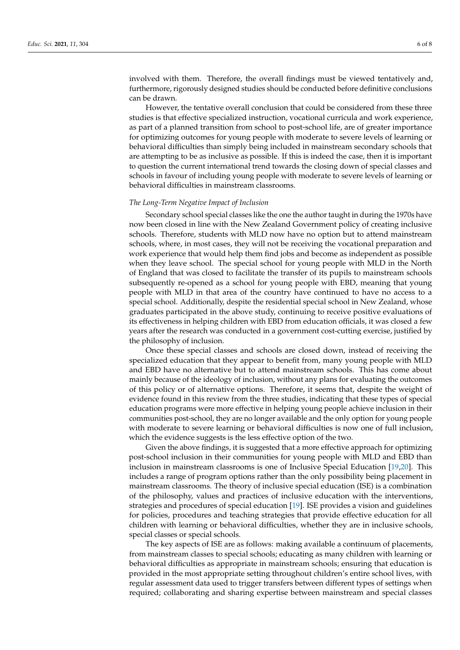involved with them. Therefore, the overall findings must be viewed tentatively and, furthermore, rigorously designed studies should be conducted before definitive conclusions can be drawn.

However, the tentative overall conclusion that could be considered from these three studies is that effective specialized instruction, vocational curricula and work experience, as part of a planned transition from school to post-school life, are of greater importance for optimizing outcomes for young people with moderate to severe levels of learning or behavioral difficulties than simply being included in mainstream secondary schools that are attempting to be as inclusive as possible. If this is indeed the case, then it is important to question the current international trend towards the closing down of special classes and schools in favour of including young people with moderate to severe levels of learning or behavioral difficulties in mainstream classrooms.

#### *The Long-Term Negative Impact of Inclusion*

Secondary school special classes like the one the author taught in during the 1970s have now been closed in line with the New Zealand Government policy of creating inclusive schools. Therefore, students with MLD now have no option but to attend mainstream schools, where, in most cases, they will not be receiving the vocational preparation and work experience that would help them find jobs and become as independent as possible when they leave school. The special school for young people with MLD in the North of England that was closed to facilitate the transfer of its pupils to mainstream schools subsequently re-opened as a school for young people with EBD, meaning that young people with MLD in that area of the country have continued to have no access to a special school. Additionally, despite the residential special school in New Zealand, whose graduates participated in the above study, continuing to receive positive evaluations of its effectiveness in helping children with EBD from education officials, it was closed a few years after the research was conducted in a government cost-cutting exercise, justified by the philosophy of inclusion.

Once these special classes and schools are closed down, instead of receiving the specialized education that they appear to benefit from, many young people with MLD and EBD have no alternative but to attend mainstream schools. This has come about mainly because of the ideology of inclusion, without any plans for evaluating the outcomes of this policy or of alternative options. Therefore, it seems that, despite the weight of evidence found in this review from the three studies, indicating that these types of special education programs were more effective in helping young people achieve inclusion in their communities post-school, they are no longer available and the only option for young people with moderate to severe learning or behavioral difficulties is now one of full inclusion, which the evidence suggests is the less effective option of the two.

Given the above findings, it is suggested that a more effective approach for optimizing post-school inclusion in their communities for young people with MLD and EBD than inclusion in mainstream classrooms is one of Inclusive Special Education [\[19](#page-7-0)[,20\]](#page-7-1). This includes a range of program options rather than the only possibility being placement in mainstream classrooms. The theory of inclusive special education (ISE) is a combination of the philosophy, values and practices of inclusive education with the interventions, strategies and procedures of special education [\[19\]](#page-7-0). ISE provides a vision and guidelines for policies, procedures and teaching strategies that provide effective education for all children with learning or behavioral difficulties, whether they are in inclusive schools, special classes or special schools.

The key aspects of ISE are as follows: making available a continuum of placements, from mainstream classes to special schools; educating as many children with learning or behavioral difficulties as appropriate in mainstream schools; ensuring that education is provided in the most appropriate setting throughout children's entire school lives, with regular assessment data used to trigger transfers between different types of settings when required; collaborating and sharing expertise between mainstream and special classes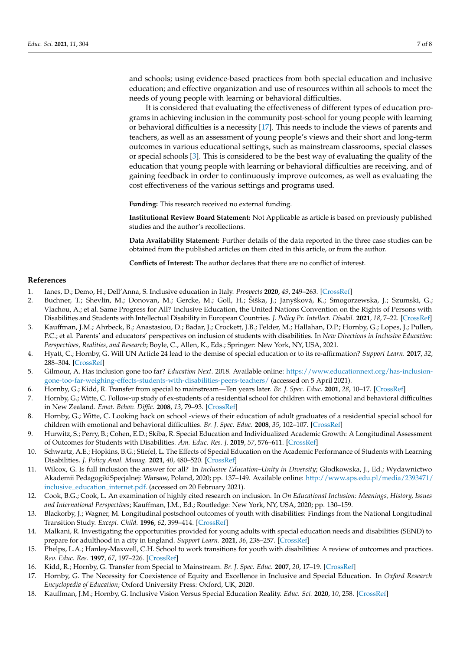and schools; using evidence-based practices from both special education and inclusive education; and effective organization and use of resources within all schools to meet the needs of young people with learning or behavioral difficulties.

It is considered that evaluating the effectiveness of different types of education programs in achieving inclusion in the community post-school for young people with learning or behavioral difficulties is a necessity [\[17\]](#page-6-15). This needs to include the views of parents and teachers, as well as an assessment of young people's views and their short and long-term outcomes in various educational settings, such as mainstream classrooms, special classes or special schools [\[3\]](#page-6-2). This is considered to be the best way of evaluating the quality of the education that young people with learning or behavioral difficulties are receiving, and of gaining feedback in order to continuously improve outcomes, as well as evaluating the cost effectiveness of the various settings and programs used.

**Funding:** This research received no external funding.

**Institutional Review Board Statement:** Not Applicable as article is based on previously published studies and the author's recollections.

**Data Availability Statement:** Further details of the data reported in the three case studies can be obtained from the published articles on them cited in this article, or from the author.

**Conflicts of Interest:** The author declares that there are no conflict of interest.

#### **References**

- <span id="page-6-0"></span>1. Ianes, D.; Demo, H.; Dell'Anna, S. Inclusive education in Italy. *Prospects* **2020**, *49*, 249–263. [\[CrossRef\]](http://doi.org/10.1007/s11125-020-09509-7)
- <span id="page-6-1"></span>2. Buchner, T.; Shevlin, M.; Donovan, M.; Gercke, M.; Goll, H.; Šiška, J.; Janyšková, K.; Smogorzewska, J.; Szumski, G.; Vlachou, A.; et al. Same Progress for All? Inclusive Education, the United Nations Convention on the Rights of Persons with Disabilities and Students with Intellectual Disability in European Countries. *J. Policy Pr. Intellect. Disabil.* **2021**, *18*, 7–22. [\[CrossRef\]](http://doi.org/10.1111/jppi.12368)
- <span id="page-6-2"></span>3. Kauffman, J.M.; Ahrbeck, B.; Anastasiou, D.; Badar, J.; Crockett, J.B.; Felder, M.; Hallahan, D.P.; Hornby, G.; Lopes, J.; Pullen, P.C.; et al. Parents' and educators' perspectives on inclusion of students with disabilities. In *New Directions in Inclusive Education: Perspectives, Realities, and Research*; Boyle, C., Allen, K., Eds.; Springer: New York, NY, USA, 2021.
- <span id="page-6-3"></span>4. Hyatt, C.; Hornby, G. Will UN Article 24 lead to the demise of special education or to its re-affirmation? *Support Learn.* **2017**, *32*, 288–304. [\[CrossRef\]](http://doi.org/10.1111/1467-9604.12170)
- <span id="page-6-4"></span>5. Gilmour, A. Has inclusion gone too far? *Education Next*. 2018. Available online: [https://www.educationnext.org/has-inclusion](https://www.educationnext.org/has-inclusion-gone-too-far-weighing-effects-students-with-disabilities-peers-teachers/)[gone-too-far-weighing-effects-students-with-disabilities-peers-teachers/](https://www.educationnext.org/has-inclusion-gone-too-far-weighing-effects-students-with-disabilities-peers-teachers/) (accessed on 5 April 2021).
- <span id="page-6-5"></span>6. Hornby, G.; Kidd, R. Transfer from special to mainstream—Ten years later. *Br. J. Spec. Educ.* **2001**, *28*, 10–17. [\[CrossRef\]](http://doi.org/10.1111/1467-8527.t01-1-00198)
- <span id="page-6-6"></span>7. Hornby, G.; Witte, C. Follow-up study of ex-students of a residential school for children with emotional and behavioral difficulties in New Zealand. *Emot. Behav. Diffic.* **2008**, *13*, 79–93. [\[CrossRef\]](http://doi.org/10.1080/13632750802027598)
- <span id="page-6-7"></span>8. Hornby, G.; Witte, C. Looking back on school -views of their education of adult graduates of a residential special school for children with emotional and behavioral difficulties. *Br. J. Spec. Educ.* **2008**, *35*, 102–107. [\[CrossRef\]](http://doi.org/10.1111/j.1467-8578.2008.00380.x)
- <span id="page-6-8"></span>9. Hurwitz, S.; Perry, B.; Cohen, E.D.; Skiba, R. Special Education and Individualized Academic Growth: A Longitudinal Assessment of Outcomes for Students with Disabilities. *Am. Educ. Res. J.* **2019**, *57*, 576–611. [\[CrossRef\]](http://doi.org/10.3102/0002831219857054)
- <span id="page-6-9"></span>10. Schwartz, A.E.; Hopkins, B.G.; Stiefel, L. The Effects of Special Education on the Academic Performance of Students with Learning Disabilities. *J. Policy Anal. Manag.* **2021**, *40*, 480–520. [\[CrossRef\]](http://doi.org/10.1002/pam.22282)
- <span id="page-6-10"></span>11. Wilcox, G. Is full inclusion the answer for all? In *Inclusive Education–Unity in Diversity*; Głodkowska, J., Ed.; Wydawnictwo Akademii PedagogikiSpecjalnej: Warsaw, Poland, 2020; pp. 137–149. Available online: [http://www.aps.edu.pl/media/2393471/](http://www.aps.edu.pl/media/2393471/inclusive_education_internet.pdf.) [inclusive\\_education\\_internet.pdf.](http://www.aps.edu.pl/media/2393471/inclusive_education_internet.pdf.) (accessed on 20 February 2021).
- <span id="page-6-11"></span>12. Cook, B.G.; Cook, L. An examination of highly cited research on inclusion. In *On Educational Inclusion: Meanings, History, Issues and International Perspectives*; Kauffman, J.M., Ed.; Routledge: New York, NY, USA, 2020; pp. 130–159.
- <span id="page-6-12"></span>13. Blackorby, J.; Wagner, M. Longitudinal postschool outcomes of youth with disabilities: Findings from the National Longitudinal Transition Study. *Except. Child.* **1996**, *62*, 399–414. [\[CrossRef\]](http://doi.org/10.1177/001440299606200502)
- 14. Malkani, R. Investigating the opportunities provided for young adults with special education needs and disabilities (SEND) to prepare for adulthood in a city in England. *Support Learn.* **2021**, *36*, 238–257. [\[CrossRef\]](http://doi.org/10.1111/1467-9604.12353)
- <span id="page-6-13"></span>15. Phelps, L.A.; Hanley-Maxwell, C.H. School to work transitions for youth with disabilities: A review of outcomes and practices. *Rev. Educ. Res.* **1997**, *67*, 197–226. [\[CrossRef\]](http://doi.org/10.3102/00346543067002197)
- <span id="page-6-14"></span>16. Kidd, R.; Hornby, G. Transfer from Special to Mainstream. *Br. J. Spec. Educ.* **2007**, *20*, 17–19. [\[CrossRef\]](http://doi.org/10.1111/j.1467-8578.1993.tb00022.x)
- <span id="page-6-15"></span>17. Hornby, G. The Necessity for Coexistence of Equity and Excellence in Inclusive and Special Education. In *Oxford Research Encyclopedia of Education*; Oxford University Press: Oxford, UK, 2020.
- <span id="page-6-16"></span>18. Kauffman, J.M.; Hornby, G. Inclusive Vision Versus Special Education Reality. *Educ. Sci.* **2020**, *10*, 258. [\[CrossRef\]](http://doi.org/10.3390/educsci10090258)